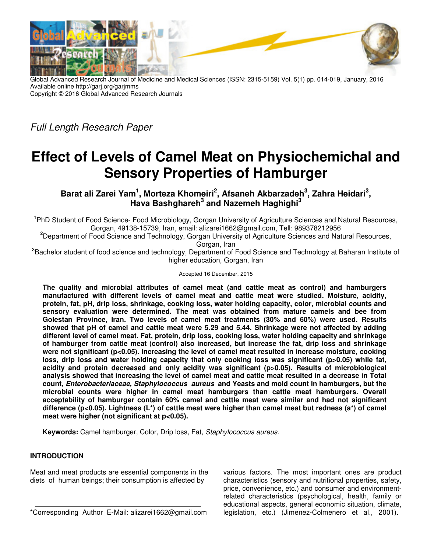

Global Advanced Research Journal of Medicine and Medical Sciences (ISSN: 2315-5159) Vol. 5(1) pp. 014-019, January, 2016 Available online http://garj.org/garjmms Copyright © 2016 Global Advanced Research Journals

Full Length Research Paper

# **Effect of Levels of Camel Meat on Physiochemichal and Sensory Properties of Hamburger**

Barat ali Zarei Yam<sup>1</sup>, Morteza Khomeiri<sup>2</sup>, Afsaneh Akbarzadeh<sup>3</sup>, Zahra Heidari<sup>3</sup>, **Hava Bashghareh<sup>3</sup> and Nazemeh Haghighi<sup>3</sup>**

<sup>1</sup>PhD Student of Food Science- Food Microbiology, Gorgan University of Agriculture Sciences and Natural Resources, Gorgan, 49138-15739, Iran, email: alizarei1662@gmail.com, Tell: 989378212956

<sup>2</sup>Department of Food Science and Technology, Gorgan University of Agriculture Sciences and Natural Resources, Gorgan, Iran

<sup>3</sup>Bachelor student of food science and technology, Department of Food Science and Technology at Baharan Institute of higher education, Gorgan, Iran

Accepted 16 December, 2015

**The quality and microbial attributes of camel meat (and cattle meat as control) and hamburgers manufactured with different levels of camel meat and cattle meat were studied. Moisture, acidity, protein, fat, pH, drip loss, shrinkage, cooking loss, water holding capacity, color, microbial counts and sensory evaluation were determined. The meat was obtained from mature camels and bee from Golestan Province, Iran. Two levels of camel meat treatments (30% and 60%) were used. Results showed that pH of camel and cattle meat were 5.29 and 5.44. Shrinkage were not affected by adding different level of camel meat. Fat, protein, drip loss, cooking loss, water holding capacity and shrinkage of hamburger from cattle meat (control) also increased, but increase the fat, drip loss and shrinkage were not significant (p<0.05). Increasing the level of camel meat resulted in increase moisture, cooking**  loss, drip loss and water holding capacity that only cooking loss was significant (p>0.05) while fat, **acidity and protein decreased and only acidity was significant (p>0.05). Results of microbiological analysis showed that increasing the level of camel meat and cattle meat resulted in a decrease in Total count, Enterobacteriaceae, Staphylococcus aureus and Yeasts and mold count in hamburgers, but the microbial counts were higher in camel meat hamburgers than cattle meat hamburgers. Overall acceptability of hamburger contain 60% camel and cattle meat were similar and had not significant difference (p<0.05). Lightness (L\*) of cattle meat were higher than camel meat but redness (a\*) of camel meat were higher (not significant at p<0.05).** 

**Keywords:** Camel hamburger, Color, Drip loss, Fat, Staphylococcus aureus.

## **INTRODUCTION**

Meat and meat products are essential components in the diets of human beings; their consumption is affected by

\*Corresponding Author E-Mail: alizarei1662@gmail.com

various factors. The most important ones are product characteristics (sensory and nutritional properties, safety, price, convenience, etc.) and consumer and environmentrelated characteristics (psychological, health, family or educational aspects, general economic situation, climate, legislation, etc.) (Jimenez-Colmenero et al., 2001).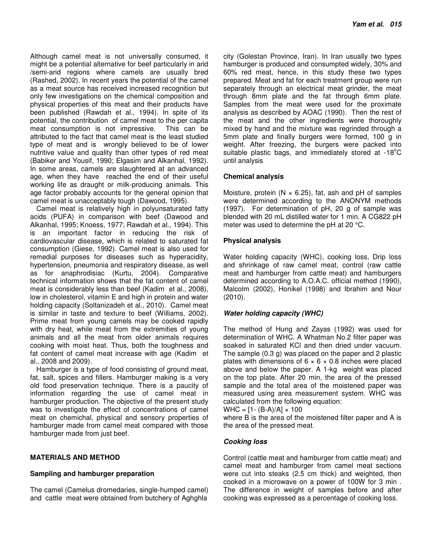Although camel meat is not universally consumed, it might be a potential alternative for beef particularly in arid /semi-arid regions where camels are usually bred (Rashed, 2002). In recent years the potential of the camel as a meat source has received increased recognition but only few investigations on the chemical composition and physical properties of this meat and their products have been published (Rawdah et al., 1994). In spite of its potential, the contribution of camel meat to the per capita meat consumption is not impressive. This can be attributed to the fact that camel meat is the least studied type of meat and is wrongly believed to be of lower nutritive value and quality than other types of red meat (Babiker and Yousif, 1990; Elgasim and Alkanhal, 1992). In some areas, camels are slaughtered at an advanced age, when they have reached the end of their useful working life as draught or milk-producing animals. This age factor probably accounts for the general opinion that camel meat is unacceptably tough (Dawood, 1995).

Camel meat is relatively high in polyunsaturated fatty acids (PUFA) in comparison with beef (Dawood and Alkanhal, 1995; Knoess, 1977; Rawdah et al., 1994). This is an important factor in reducing the risk of cardiovascular disease, which is related to saturated fat consumption (Giese, 1992). Camel meat is also used for remedial purposes for diseases such as hyperacidity, hypertension, pneumonia and respiratory disease, as well as for anaphrodisiac (Kurtu, 2004). Comparative technical information shows that the fat content of camel meat is considerably less than beef (Kadim et al., 2008), low in cholesterol, vitamin E and high in protein and water holding capacity (Soltanizadeh et al., 2010). Camel meat is similar in taste and texture to beef (Williams, 2002). Prime meat from young camels may be cooked rapidly with dry heat, while meat from the extremities of young animals and all the meat from older animals requires cooking with moist heat. Thus, both the toughness and fat content of camel meat increase with age (Kadim et al., 2008 and 2009).

Hamburger is a type of food consisting of ground meat, fat, salt, spices and fillers. Hamburger making is a very old food preservation technique. There is a paucity of information regarding the use of camel meat in hamburger production. The objective of the present study was to investigate the effect of concentrations of camel meat on chemichal, physical and sensory properties of hamburger made from camel meat compared with those hamburger made from just beef.

## **MATERIALS AND METHOD**

## **Sampling and hamburger preparation**

The camel (Camelus dromedaries, single-humped camel) and cattle meat were obtained from butchery of Aghghla

city (Golestan Province, Iran). In Iran usually two types hamburger is produced and consumpted widely, 30% and 60% red meat, hence, in this study these two types prepared. Meat and fat for each treatment group were run separately through an electrical meat grinder, the meat through 8mm plate and the fat through 6mm plate. Samples from the meat were used for the proximate analysis as described by AOAC (1990). Then the rest of the meat and the other ingredients were thoroughly mixed by hand and the mixture was regrinded through a 5mm plate and finally burgers were formed, 100 g in weight. After freezing, the burgers were packed into suitable plastic bags, and immediately stored at -18°C until analysis

## **Chemical analysis**

Moisture, protein ( $N \times 6.25$ ), fat, ash and pH of samples were determined according to the ANONYM methods (1997). For determination of pH, 20 g of sample was blended with 20 mL distilled water for 1 min. A CG822 pH meter was used to determine the pH at 20 °C.

## **Physical analysis**

Water holding capacity (WHC), cooking loss, Drip loss and shrinkage of raw camel meat, control (raw cattle meat and hamburger from cattle meat) and hamburgers determined according to A.O.A.C. official method (1990), Malcolm (2002), Honikel (1998) and Ibrahim and Nour (2010).

## **Water holding capacity (WHC)**

The method of Hung and Zayas (1992) was used for determination of WHC. A Whatman No.2 filter paper was soaked in saturated KCl and then dried under vacuum. The sample (0.3 g) was placed on the paper and 2 plastic plates with dimensions of  $6 \times 6 \times 0.8$  inches were placed above and below the paper. A 1-kg weight was placed on the top plate. After 20 min, the area of the pressed sample and the total area of the moistened paper was measured using area measurement system. WHC was calculated from the following equation:

 $WHC = [1 - (B-A)/A] \times 100$ 

where B is the area of the moistened filter paper and A is the area of the pressed meat.

## **Cooking loss**

Control (cattle meat and hamburger from cattle meat) and camel meat and hamburger from camel meat sections were cut into steaks (2.5 cm thick) and weighted, then cooked in a microwave on a power of 100W for 3 min . The difference in weight of samples before and after cooking was expressed as a percentage of cooking loss.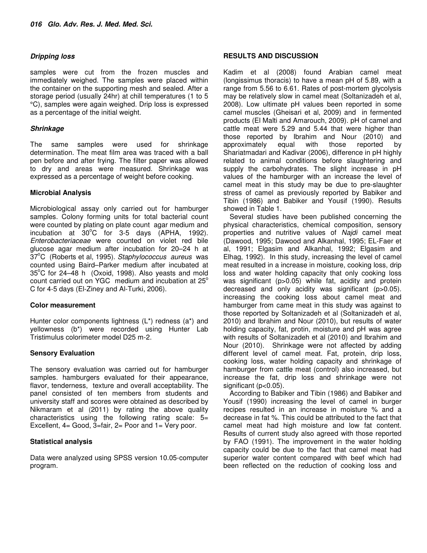## **Dripping loss**

samples were cut from the frozen muscles and immediately weighed. The samples were placed within the container on the supporting mesh and sealed. After a storage period (usually 24hr) at chill temperatures (1 to 5 °C), samples were again weighed. Drip loss is expressed as a percentage of the initial weight.

#### **Shrinkage**

The same samples were used for shrinkage determination. The meat film area was traced with a ball pen before and after frying. The filter paper was allowed to dry and areas were measured. Shrinkage was expressed as a percentage of weight before cooking.

#### **Microbial Analysis**

Microbiological assay only carried out for hamburger samples. Colony forming units for total bacterial count were counted by plating on plate count agar medium and incubation at  $30^{\circ}$ C for 3-5 days (APHA, 1992). Enterobacteriaceae were counted on violet red bile glucose agar medium after incubation for 20–24 h at 37°C (Roberts et al, 1995). Staphylococcus aureus was counted using Baird–Parker medium after incubated at  $35^{\circ}$ C for 24–48 h (Oxoid, 1998). Also yeasts and mold count carried out on YGC medium and incubation at  $25^\circ$ C for 4-5 days (El-Ziney and Al-Turki, 2006).

#### **Color measurement**

Hunter color components lightness (L\*) redness (a\*) and yellowness (b\*) were recorded using Hunter Lab Tristimulus colorimeter model D25 m-2.

## **Sensory Evaluation**

The sensory evaluation was carried out for hamburger samples. hamburgers evaluated for their appearance, flavor, tenderness, texture and overall acceptability. The panel consisted of ten members from students and university staff and scores were obtained as described by Nikmaram et al (2011) by rating the above quality characteristics using the following rating scale: 5= Excellent, 4= Good, 3=fair, 2= Poor and 1= Very poor.

## **Statistical analysis**

Data were analyzed using SPSS version 10.05-computer program.

#### **RESULTS AND DISCUSSION**

Kadim et al (2008) found Arabian camel meat (longissimus thoracis) to have a mean pH of 5.89, with a range from 5.56 to 6.61. Rates of post-mortem glycolysis may be relatively slow in camel meat (Soltanizadeh et al, 2008). Low ultimate pH values been reported in some camel muscles (Gheisari et al, 2009) and in fermented products (El Malti and Amarouch, 2009). pH of camel and cattle meat were 5.29 and 5.44 that were higher than those reported by Ibrahim and Nour (2010) and approximately equal with those reported by Shariatmadari and Kadivar (2006), difference in pH highly related to animal conditions before slaughtering and supply the carbohydrates. The slight increase in pH values of the hamburger with an increase the level of camel meat in this study may be due to pre-slaughter stress of camel as previously reported by Babiker and Tibin (1986) and Babiker and Yousif (1990). Results showed in Table 1.

Several studies have been published concerning the physical characteristics, chemical composition, sensory properties and nutritive values of Najdi camel meat (Dawood, 1995; Dawood and Alkanhal, 1995; EL-Faer et al, 1991; Elgasim and Alkanhal, 1992; Elgasim and Elhag, 1992). In this study, increasing the level of camel meat resulted in a increase in moisture, cooking loss, drip loss and water holding capacity that only cooking loss was significant (p>0.05) while fat, acidity and protein decreased and only acidity was significant (p>0.05). increasing the cooking loss about camel meat and hamburger from came meat in this study was against to those reported by Soltanizadeh et al (Soltanizadeh et al, 2010) and Ibrahim and Nour (2010), but results of water holding capacity, fat, protin, moisture and pH was agree with results of Soltanizadeh et al (2010) and Ibrahim and Nour (2010). Shrinkage were not affected by adding different level of camel meat. Fat, protein, drip loss, cooking loss, water holding capacity and shrinkage of hamburger from cattle meat (control) also increased, but increase the fat, drip loss and shrinkage were not significant (p<0.05).

According to Babiker and Tibin (1986) and Babiker and Yousif (1990) increasing the level of camel in burger recipes resulted in an increase in moisture % and a decrease in fat %. This could be attributed to the fact that camel meat had high moisture and low fat content. Results of current study also agreed with those reported by FAO (1991). The improvement in the water holding capacity could be due to the fact that camel meat had superior water content compared with beef which had been reflected on the reduction of cooking loss and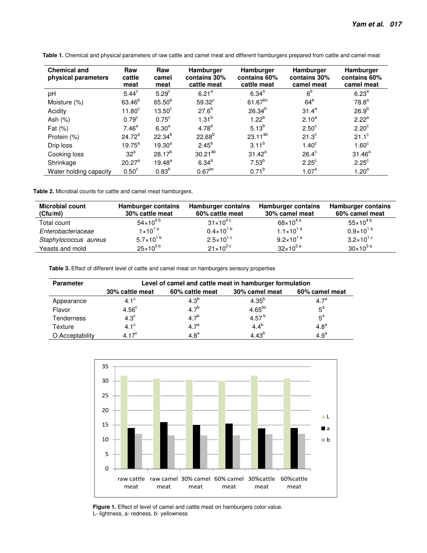| <b>Chemical and</b><br>physical parameters | Raw<br>cattle<br>meat | Raw<br>camel<br>meat | Hamburger<br>contains 30%<br>cattle meat | Hamburger<br>contains 60%<br>cattle meat | <b>Hamburger</b><br>contains 30%<br>camel meat | Hamburger<br>contains 60%<br>camel meat |
|--------------------------------------------|-----------------------|----------------------|------------------------------------------|------------------------------------------|------------------------------------------------|-----------------------------------------|
| pH                                         | $5.44^c$              | 5.29 <sup>c</sup>    | 6.21 <sup>a</sup>                        | $6.34^{a}$                               | 6 <sup>b</sup>                                 | 6.23 <sup>a</sup>                       |
| Moisture (%)                               | 63.46 <sup>b</sup>    | $65.50^{b}$          | $59.32^c$                                | $61.67^{bc}$                             | $64^b$                                         | 78.8 <sup>a</sup>                       |
| Acidity                                    | 11.80 <sup>c</sup>    | $13.50^\circ$        | $27.6^{b}$                               | $26.34^{b}$                              | $31.4^a$                                       | 26.9 <sup>b</sup>                       |
| Ash $(%)$                                  | 0.79 <sup>c</sup>     | $0.75^{\circ}$       | $1.31^{b}$                               | $1.22^{b}$                               | $2.10^{a}$                                     | 2.22 <sup>a</sup>                       |
| Fat $(\%)$                                 | 7.46 <sup>a</sup>     | 6.30 <sup>a</sup>    | $4.78^{b}$                               | $5.13^{b}$                               | 2.50 <sup>c</sup>                              | $2.20^{\circ}$                          |
| Protein (%)                                | $24.72^a$             | $22.34^{b}$          | $22.68^{b}$                              | $23.11^{ab}$                             | 21.3 <sup>c</sup>                              | $21.1^{\circ}$                          |
| Drip loss                                  | $19.75^{\text{a}}$    | $19.30^{a}$          | $2.45^{b}$                               | $3.11^{b}$                               | 1.40 <sup>c</sup>                              | 1.60 <sup>c</sup>                       |
| Cooking loss                               | $32^a$                | $28.17^{b}$          | $30.21^{ab}$                             | $31.42^a$                                | $26.4^{\circ}$                                 | $31.46^a$                               |
| Shrinkage                                  | $20.27^{\text{a}}$    | $19.48^{a}$          | $6.34^{b}$                               | $7.53^{b}$                               | $2.25^{\circ}$                                 | $2.25^{\circ}$                          |
| Water holding capacity                     | 0.50 <sup>c</sup>     | $0.83^{b}$           | $0.67$ <sup>bc</sup>                     | $0.71^{b}$                               | 1.07 <sup>a</sup>                              | 1.20 <sup>a</sup>                       |

**Table 1.** Chemical and physical parameters of raw cattle and camel meat and different hamburgers prepared from cattle and camel meat

**Table 2.** Microbial counts for cattle and camel meat hamburgers.

| <b>Microbial count</b><br>(Cfu/ml) | Hamburger contains<br>30% cattle meat | <b>Hamburger contains</b><br>60% cattle meat | <b>Hamburger contains</b><br>30% camel meat | Hamburger contains<br>60% camel meat |
|------------------------------------|---------------------------------------|----------------------------------------------|---------------------------------------------|--------------------------------------|
| Total count                        | $54\times10^{4}$ b                    | $31 \times 10^{4}$ c                         | $68 \times 10^{4}$ <sup>a</sup>             | $55 \times 10^{4}$                   |
| Enterobacteriaceae                 | $1 \times 10^{1a}$                    | $0.4 \times 10^{1}$                          | $1.1 \times 10^{1}$ <sup>a</sup>            | $0.9 \times 10^{1}$ <sup>a</sup>     |
| Staphylococcus aureus              | $5.7 \times 10^{1 b}$                 | $2.5 \times 10^{1}$ c                        | $9.2 \times 10^{1}$ <sup>a</sup>            | $3.2 \times 10^{1}$ c                |
| Yeasts and mold                    | $25 \times 10^{3 b}$                  | $21 \times 10^{3}$ c                         | $32\times10^{3}$ <sup>a</sup>               | $30 \times 10^{3}$ <sup>a</sup>      |

**Table 3.** Effect of different level of cattle and camel meat on hamburgers sensory properties

| <b>Parameter</b>  | Level of camel and cattle meat in hamburger formulation |                  |                |                  |  |  |  |
|-------------------|---------------------------------------------------------|------------------|----------------|------------------|--|--|--|
|                   | 30% cattle meat                                         | 60% cattle meat  | 30% camel meat | 60% camel meat   |  |  |  |
| Appearance        | $4.1^\circ$                                             | $4.3^{b}$        | $4.35^{b}$     | 4.7 <sup>a</sup> |  |  |  |
| Flavor            | 4.56 <sup>c</sup>                                       | $4.7^{b}$        | $4.65^{bc}$    | $5^{\text{a}}$   |  |  |  |
| <b>Tenderness</b> | $4.3^\circ$                                             | $4.7^{b}$        | 4.57 $^{b}$    | $5^{\text{a}}$   |  |  |  |
| Texture           | $4.1^\circ$                                             | $4.7^{a}$        | $4.4^{b}$      | 4.8 <sup>a</sup> |  |  |  |
| O.Acceptability   | 4.17 <sup>c</sup>                                       | 4.8 <sup>a</sup> | 4.43 $^{b}$    | 4.9 <sup>a</sup> |  |  |  |



**Figure 1.** Effect of level of camel and cattle meat on hamburgers color value. L- lightness, a- redness, b- yellowness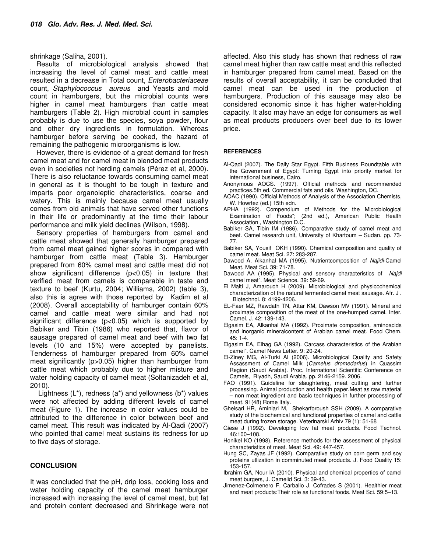shrinkage (Saliha, 2001).

Results of microbiological analysis showed that increasing the level of camel meat and cattle meat resulted in a decrease in Total count, Enterobacteriaceae count, Staphylococcus aureus and Yeasts and mold count in hamburgers, but the microbial counts were higher in camel meat hamburgers than cattle meat hamburgers (Table 2). High microbial count in samples probably is due to use the species, soya powder, flour and other dry ingredients in formulation. Whereas hamburger before serving be cooked, the hazard of remaining the pathogenic microorganisms is low.

However, there is evidence of a great demand for fresh camel meat and for camel meat in blended meat products even in societies not herding camels (Pérez et al, 2000). There is also reluctance towards consuming camel meat in general as it is thought to be tough in texture and imparts poor organoleptic characteristics, coarse and watery. This is mainly because camel meat usually comes from old animals that have served other functions in their life or predominantly at the time their labour performance and milk yield declines (Wilson, 1998).

Sensory properties of hamburgers from camel and cattle meat showed that generally hamburger prepared from camel meat gained higher scores in compared with hamburger from cattle meat (Table 3). Hamburger prepared from 60% camel meat and cattle meat did not show significant difference (p<0.05) in texture that verified meat from camels is comparable in taste and texture to beef (Kurtu, 2004; Williams, 2002) (table 3), also this is agree with those reported by Kadim et al (2008). Overall acceptability of hamburger contain 60% camel and cattle meat were similar and had not significant difference (p<0.05) which is supported by Babiker and Tibin (1986) who reported that, flavor of sausage prepared of camel meat and beef with two fat levels (10 and 15%) were accepted by panelists. Tenderness of hamburger prepared from 60% camel meat significantly (p>0.05) higher than hamburger from cattle meat which probably due to higher misture and water holding capacity of camel meat (Soltanizadeh et al, 2010).

 Lightness (L\*), redness (a\*) and yellowness (b\*) values were not affected by adding different levels of camel meat (Figure 1). The increase in color values could be attributed to the difference in color between beef and camel meat. This result was indicated by Al-Qadi (2007) who pointed that camel meat sustains its redness for up to five days of storage.

#### **CONCLUSION**

It was concluded that the pH, drip loss, cooking loss and water holding capacity of the camel meat hamburger increased with increasing the level of camel meat, but fat and protein content decreased and Shrinkage were not affected. Also this study has shown that redness of raw camel meat higher than raw cattle meat and this reflected in hamburger prepared from camel meat. Based on the results of overall acceptability, it can be concluded that camel meat can be used in the production of hamburgers. Production of this sausage may also be considered economic since it has higher water-holding capacity. It also may have an edge for consumers as well as meat products producers over beef due to its lower price.

#### **REFERENCES**

- Al-Qadi (2007). The Daily Star Egypt. Fifth Business Roundtable with the Government of Egypt: Turning Egypt into priority market for international business, Cairo.
- Anonymous AOCS. (1997). Official methods and recommended practices.5th ed. Commercial fats and oils. Washington, DC.
- AOAC (1990). Official Methods of Analysis of the Association Chemists, W. Howrtez (ed.) 15th edn.
- APHA (1992). Compendium of Methods for the Microbiological Examination of Foods"; (2nd ed.), American Public Health Association , Washington D.C.
- Babiker SA, Tibin IM (1986). Comparative study of camel meat and beef. Camel research unit, University of Khartoum – Sudan. pp. 73- 77.
- Babiker SA, Yousif OKH (1990). Chemical composition and quality of camel meat. Meat Sci. 27: 283-287.
- Dawood A, Alkanhal MA (1995). Nutrientcomposition of Najidi-Camel Meat. Meat Sci. 39: 71-78.
- Dawood AA (1995). Physical and sensory characteristics of Najdi camel meat". Meat Science. 39: 59-69.
- El Malti J, Amarouch H (2009). Microbiological and physicochemical characterization of the natural fermented camel meat sausage. Afr. J . Biotechnol. 8: 4199-4206.
- EL-Faer MZ, Rawdath TN, Attar KM, Dawson MV (1991). Mineral and proximate composition of the meat of the one-humped camel. Inter. Camel. J. 42: 139-143.
- Elgasim EA, Alkanhal MA (1992). Proximate composition, aminoacids and inorganic mineralcontent of Arabian camel meat. Food Chem.  $45:1 - 4$ .
- Elgasim EA, Elhag GA (1992). Carcass characteristics of the Arabian camel". Camel News Letter. 9: 20-24.
- El-Ziney MG, Al-Turki AI (2006). Microbiological Quality and Safety Assassment of Camel Milk (Camelus dromedarius) in Quassim Region (Saudi Arabia). Proc. International Scientific Conference on Camels, Riyadh, Saudi Arabia. pp. 2146-2159. 2006.
- FAO (1991). Guideline for slaughtering, meat cutting and further processing. Animal production and health paper.Meat as raw material – non meat ingredient and basic techniques in further processing of meat. 91(48) Rome Italy.
- Gheisari HR, Aminlari M, Shekarforoush SSH (2009). A comparative study of the biochemical and functional properties of camel and cattle meat during frozen storage. Veterinarski Arhiv 79 (1): 51-68
- Giese J (1992). Developing low fat meat products. Food Technol. 46:100–108.
- Honikel KO (1998). Reference methods for the assessment of physical characteristics of meat. Meat Sci. 49: 447-457.
- Hung SC, Zayas JF (1992). Comparative study on corn germ and soy proteins utlization in comminuted meat products. J. Food Quality 15: 153-157.
- Ibrahim GA, Nour IA (2010). Physical and chemical properties of camel meat burgers, J. Camelid Sci. 3: 39-43.
- Jimenez-Colmenero F, Carballo J, Cofrades S (2001). Healthier meat and meat products:Their role as functional foods. Meat Sci. 59:5–13.